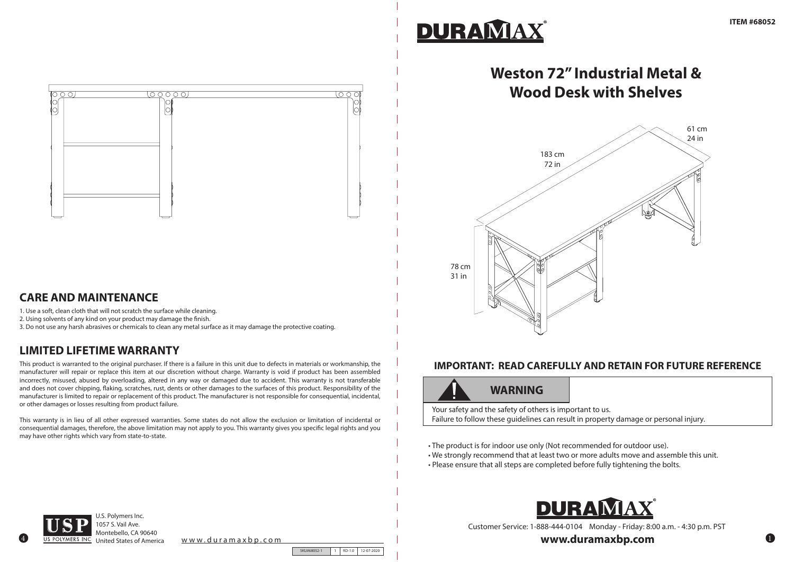

#### **CARE AND MAINTENANCE**

## **LIMITED LIFETIME WARRANTY**

1. Use a soft, clean cloth that will not scratch the surface while cleaning.

2. Using solvents of any kind on your product may damage the finish.

3. Do not use any harsh abrasives or chemicals to clean any metal surface as it may damage the protective coating.

This product is warranted to the original purchaser. If there is a failure in this unit due to defects in materials or workmanship, the manufacturer will repair or replace this item at our discretion without charge. Warranty is void if product has been assembled incorrectly, misused, abused by overloading, altered in any way or damaged due to accident. This warranty is not transferable and does not cover chipping, flaking, scratches, rust, dents or other damages to the surfaces of this product. Responsibility of the manufacturer is limited to repair or replacement of this product. The manufacturer is not responsible for consequential, incidental, or other damages or losses resulting from product failure.

This warranty is in lieu of all other expressed warranties. Some states do not allow the exclusion or limitation of incidental or consequential damages, therefore, the above limitation may not apply to you. This warranty gives you specific legal rights and you may have other rights which vary from state-to-state.

# DURAMAX

4

United States of America www.duramaxbp.com

SKU#68052-1 1 RD-1.0 12-07-2020



Customer Service: 1-888-444-0104 Monday - Friday: 8:00 a.m. - 4:30 p.m. PST

www.duramaxbp.com

#### **IMPORTANT: READ CAREFULLY AND RETAIN FOR FUTURE REFERENCE**



# **WARNING**

Your safety and the safety of others is important to us. Failure to follow these guidelines can result in property damage or personal injury.

- The product is for indoor use only (Not recommended for outdoor use).
- We strongly recommend that at least two or more adults move and assemble this unit.
- Please ensure that all steps are completed before fully tightening the bolts.



# **Weston 72" Industrial Metal & Wood Desk with Shelves**